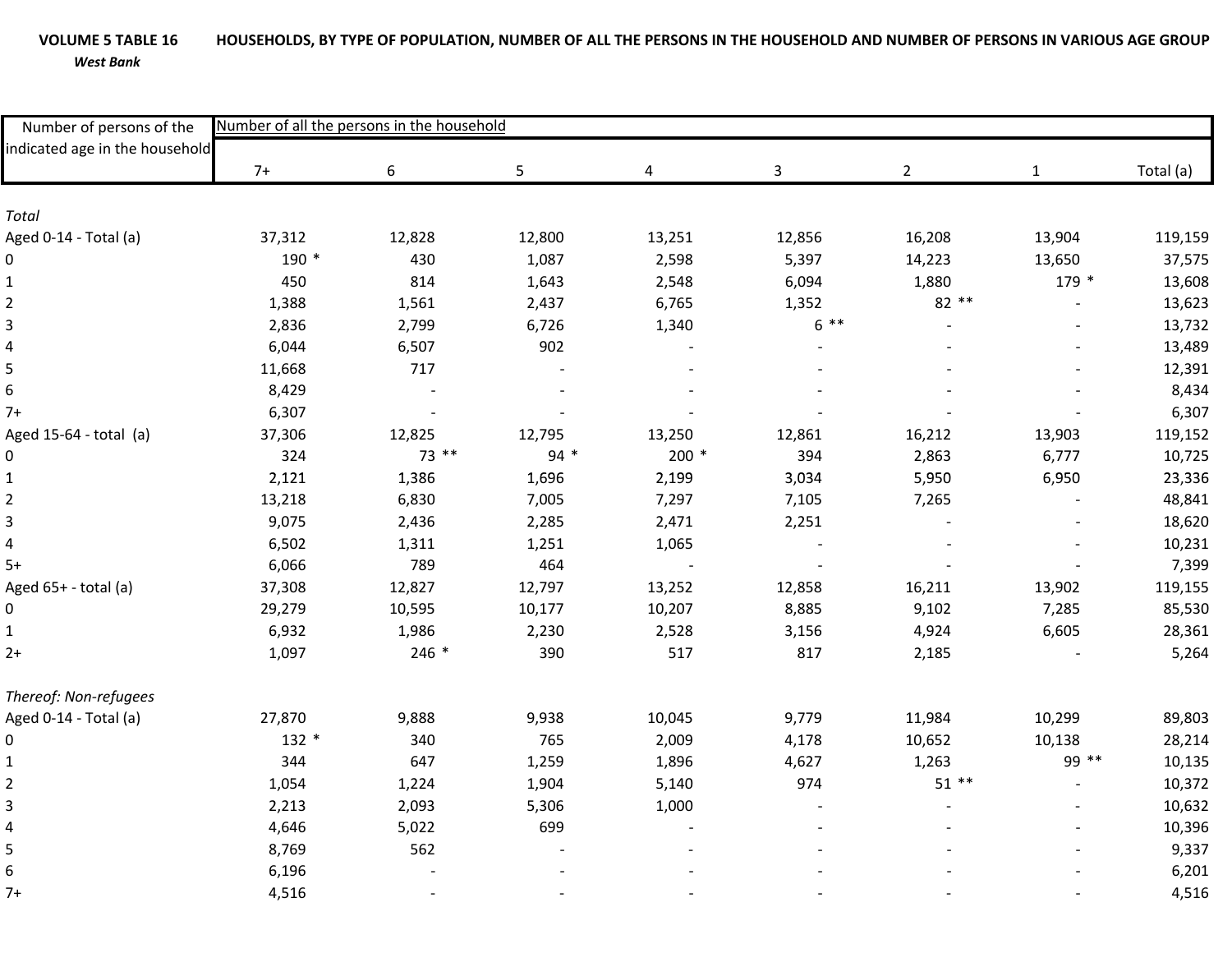## **VOLUME 5**HOUSEHOLDS, BY TYPE OF POPULATION, NUMBER OF ALL THE PERSONS IN THE HOUSEHOLD AND NUMBER OF PERSONS IN VARIOUS AGE GROUP *West Bank*

| Number of persons of the<br>indicated age in the household | Number of all the persons in the household |         |        |        |              |                |              |           |  |
|------------------------------------------------------------|--------------------------------------------|---------|--------|--------|--------------|----------------|--------------|-----------|--|
|                                                            | $7+$                                       | 6       | 5      | 4      | $\mathbf{3}$ | $\overline{2}$ | $\mathbf{1}$ | Total (a) |  |
|                                                            |                                            |         |        |        |              |                |              |           |  |
| Total                                                      |                                            |         |        |        |              |                |              |           |  |
| Aged 0-14 - Total (a)                                      | 37,312                                     | 12,828  | 12,800 | 13,251 | 12,856       | 16,208         | 13,904       | 119,159   |  |
| $\mathbf 0$                                                | 190 *                                      | 430     | 1,087  | 2,598  | 5,397        | 14,223         | 13,650       | 37,575    |  |
| $\mathbf{1}$                                               | 450                                        | 814     | 1,643  | 2,548  | 6,094        | 1,880          | 179 *        | 13,608    |  |
| $\overline{c}$                                             | 1,388                                      | 1,561   | 2,437  | 6,765  | 1,352        | 82 **          |              | 13,623    |  |
| $\overline{3}$                                             | 2,836                                      | 2,799   | 6,726  | 1,340  | $6***$       |                |              | 13,732    |  |
| 4                                                          | 6,044                                      | 6,507   | 902    |        |              |                |              | 13,489    |  |
| 5                                                          | 11,668                                     | 717     |        |        |              |                |              | 12,391    |  |
| $\boldsymbol{6}$                                           | 8,429                                      |         |        |        |              |                |              | 8,434     |  |
| $7+$                                                       | 6,307                                      |         |        |        |              |                |              | 6,307     |  |
| Aged 15-64 - total (a)                                     | 37,306                                     | 12,825  | 12,795 | 13,250 | 12,861       | 16,212         | 13,903       | 119,152   |  |
| 0                                                          | 324                                        | 73 **   | 94 *   | $200*$ | 394          | 2,863          | 6,777        | 10,725    |  |
| $\mathbf{1}$                                               | 2,121                                      | 1,386   | 1,696  | 2,199  | 3,034        | 5,950          | 6,950        | 23,336    |  |
| $\overline{\mathbf{c}}$                                    | 13,218                                     | 6,830   | 7,005  | 7,297  | 7,105        | 7,265          |              | 48,841    |  |
| $\overline{\mathbf{3}}$                                    | 9,075                                      | 2,436   | 2,285  | 2,471  | 2,251        |                |              | 18,620    |  |
| $\overline{\mathbf{4}}$                                    | 6,502                                      | 1,311   | 1,251  | 1,065  |              |                |              | 10,231    |  |
| $5+$                                                       | 6,066                                      | 789     | 464    |        |              |                |              | 7,399     |  |
| Aged 65+ - total (a)                                       | 37,308                                     | 12,827  | 12,797 | 13,252 | 12,858       | 16,211         | 13,902       | 119,155   |  |
| 0                                                          | 29,279                                     | 10,595  | 10,177 | 10,207 | 8,885        | 9,102          | 7,285        | 85,530    |  |
| $\mathbf{1}$                                               | 6,932                                      | 1,986   | 2,230  | 2,528  | 3,156        | 4,924          | 6,605        | 28,361    |  |
| $2+$                                                       | 1,097                                      | $246 *$ | 390    | 517    | 817          | 2,185          |              | 5,264     |  |
| Thereof: Non-refugees                                      |                                            |         |        |        |              |                |              |           |  |
| Aged 0-14 - Total (a)                                      | 27,870                                     | 9,888   | 9,938  | 10,045 | 9,779        | 11,984         | 10,299       | 89,803    |  |
| 0                                                          | $132 *$                                    | 340     | 765    | 2,009  | 4,178        | 10,652         | 10,138       | 28,214    |  |
| $\mathbf 1$                                                | 344                                        | 647     | 1,259  | 1,896  | 4,627        | 1,263          | 99 **        | 10,135    |  |
| $\overline{\mathbf{c}}$                                    | 1,054                                      | 1,224   | 1,904  | 5,140  | 974          | $51**$         |              | 10,372    |  |
| 3                                                          | 2,213                                      | 2,093   | 5,306  | 1,000  |              |                |              | 10,632    |  |
| $\overline{\mathbf{4}}$                                    | 4,646                                      | 5,022   | 699    |        |              |                |              | 10,396    |  |
| 5                                                          | 8,769                                      | 562     |        |        |              |                |              | 9,337     |  |
| $6\,$                                                      | 6,196                                      |         |        |        |              |                |              | 6,201     |  |
| $7+$                                                       | 4,516                                      |         |        |        |              |                |              | 4,516     |  |